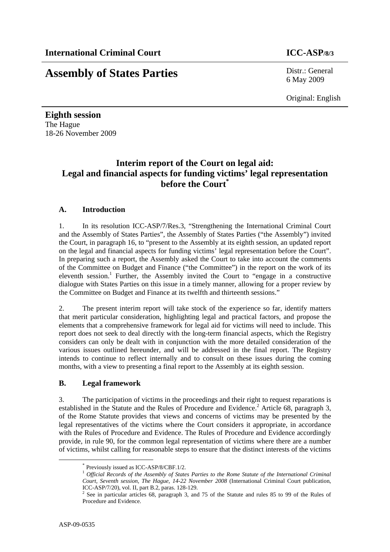# **Assembly of States Parties** Distr.: General

6 May 2009

Original: English

**Eighth session**  The Hague 18-26 November 2009

# **Interim report of the Court on legal aid: Legal and financial aspects for funding victims' legal representation before the Court\***

# **A. Introduction**

1. In its resolution ICC-ASP/7/Res.3, "Strengthening the International Criminal Court and the Assembly of States Parties", the Assembly of States Parties ("the Assembly") invited the Court, in paragraph 16, to "present to the Assembly at its eighth session, an updated report on the legal and financial aspects for funding victims' legal representation before the Court". In preparing such a report, the Assembly asked the Court to take into account the comments of the Committee on Budget and Finance ("the Committee") in the report on the work of its eleventh session.<sup>1</sup> Further, the Assembly invited the Court to "engage in a constructive dialogue with States Parties on this issue in a timely manner, allowing for a proper review by the Committee on Budget and Finance at its twelfth and thirteenth sessions."

2. The present interim report will take stock of the experience so far, identify matters that merit particular consideration, highlighting legal and practical factors, and propose the elements that a comprehensive framework for legal aid for victims will need to include. This report does not seek to deal directly with the long-term financial aspects, which the Registry considers can only be dealt with in conjunction with the more detailed consideration of the various issues outlined hereunder, and will be addressed in the final report. The Registry intends to continue to reflect internally and to consult on these issues during the coming months, with a view to presenting a final report to the Assembly at its eighth session.

# **B. Legal framework**

3. The participation of victims in the proceedings and their right to request reparations is established in the Statute and the Rules of Procedure and Evidence.<sup>2</sup> Article 68, paragraph 3, of the Rome Statute provides that views and concerns of victims may be presented by the legal representatives of the victims where the Court considers it appropriate, in accordance with the Rules of Procedure and Evidence. The Rules of Procedure and Evidence accordingly provide, in rule 90, for the common legal representation of victims where there are a number of victims, whilst calling for reasonable steps to ensure that the distinct interests of the victims

 <sup>\*</sup> Previously issued as ICC-ASP/8/CBF.1/2.

<sup>1</sup> *Official Records of the Assembly of States Parties to the Rome Statute of the International Criminal Court, Seventh session, The Hague, 14-22 November 2008* (International Criminal Court publication, ICC-ASP/7/20), vol. II, part B.2, paras. 128-129.

<sup>&</sup>lt;sup>2</sup> See in particular articles 68, paragraph 3, and 75 of the Statute and rules 85 to 99 of the Rules of Procedure and Evidence.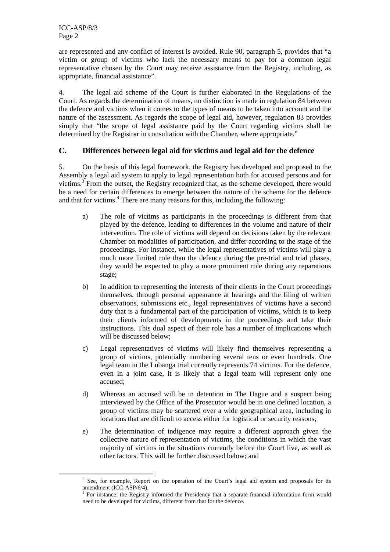are represented and any conflict of interest is avoided. Rule 90, paragraph 5, provides that "a victim or group of victims who lack the necessary means to pay for a common legal representative chosen by the Court may receive assistance from the Registry, including, as appropriate, financial assistance".

4. The legal aid scheme of the Court is further elaborated in the Regulations of the Court. As regards the determination of means, no distinction is made in regulation 84 between the defence and victims when it comes to the types of means to be taken into account and the nature of the assessment. As regards the scope of legal aid, however, regulation 83 provides simply that "the scope of legal assistance paid by the Court regarding victims shall be determined by the Registrar in consultation with the Chamber, where appropriate."

# **C. Differences between legal aid for victims and legal aid for the defence**

5. On the basis of this legal framework, the Registry has developed and proposed to the Assembly a legal aid system to apply to legal representation both for accused persons and for victims.<sup>3</sup> From the outset, the Registry recognized that, as the scheme developed, there would be a need for certain differences to emerge between the nature of the scheme for the defence and that for victims.<sup>4</sup> There are many reasons for this, including the following:

- a) The role of victims as participants in the proceedings is different from that played by the defence, leading to differences in the volume and nature of their intervention. The role of victims will depend on decisions taken by the relevant Chamber on modalities of participation, and differ according to the stage of the proceedings. For instance, while the legal representatives of victims will play a much more limited role than the defence during the pre-trial and trial phases, they would be expected to play a more prominent role during any reparations stage;
- b) In addition to representing the interests of their clients in the Court proceedings themselves, through personal appearance at hearings and the filing of written observations, submissions etc., legal representatives of victims have a second duty that is a fundamental part of the participation of victims, which is to keep their clients informed of developments in the proceedings and take their instructions. This dual aspect of their role has a number of implications which will be discussed below;
- c) Legal representatives of victims will likely find themselves representing a group of victims, potentially numbering several tens or even hundreds. One legal team in the Lubanga trial currently represents 74 victims. For the defence, even in a joint case, it is likely that a legal team will represent only one accused;
- d) Whereas an accused will be in detention in The Hague and a suspect being interviewed by the Office of the Prosecutor would be in one defined location, a group of victims may be scattered over a wide geographical area, including in locations that are difficult to access either for logistical or security reasons;
- e) The determination of indigence may require a different approach given the collective nature of representation of victims, the conditions in which the vast majority of victims in the situations currently before the Court live, as well as other factors. This will be further discussed below; and

 <sup>3</sup> <sup>3</sup> See, for example, Report on the operation of the Court's legal aid system and proposals for its amendment (ICC-ASP/6/4).

<sup>&</sup>lt;sup>4</sup> For instance, the Registry informed the Presidency that a separate financial information form would need to be developed for victims, different from that for the defence.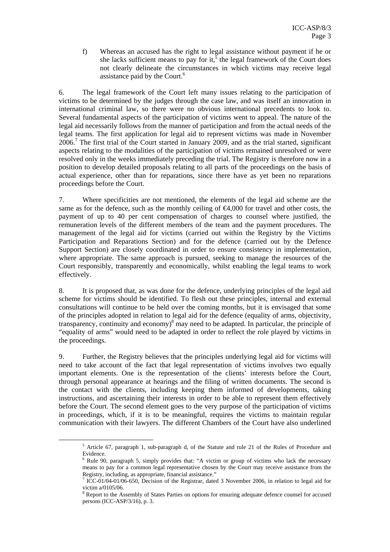f) Whereas an accused has the right to legal assistance without payment if he or she lacks sufficient means to pay for it,  $\frac{5}{5}$  the legal framework of the Court does not clearly delineate the circumstances in which victims may receive legal assistance paid by the Court.<sup>6</sup>

6. The legal framework of the Court left many issues relating to the participation of victims to be determined by the judges through the case law, and was itself an innovation in international criminal law, so there were no obvious international precedents to look to. Several fundamental aspects of the participation of victims went to appeal. The nature of the legal aid necessarily follows from the manner of participation and from the actual needs of the legal teams. The first application for legal aid to represent victims was made in November 2006.<sup>7</sup> The first trial of the Court started in January 2009, and as the trial started, significant aspects relating to the modalities of the participation of victims remained unresolved or were resolved only in the weeks immediately preceding the trial. The Registry is therefore now in a position to develop detailed proposals relating to all parts of the proceedings on the basis of actual experience, other than for reparations, since there have as yet been no reparations proceedings before the Court.

7. Where specificities are not mentioned, the elements of the legal aid scheme are the same as for the defence, such as the monthly ceiling of  $\bigoplus$ 4,000 for travel and other costs, the payment of up to 40 per cent compensation of charges to counsel where justified, the remuneration levels of the different members of the team and the payment procedures. The management of the legal aid for victims (carried out within the Registry by the Victims Participation and Reparations Section) and for the defence (carried out by the Defence Support Section) are closely coordinated in order to ensure consistency in implementation, where appropriate. The same approach is pursued, seeking to manage the resources of the Court responsibly, transparently and economically, whilst enabling the legal teams to work effectively.

8. It is proposed that, as was done for the defence, underlying principles of the legal aid scheme for victims should be identified. To flesh out these principles, internal and external consultations will continue to be held over the coming months, but it is envisaged that some of the principles adopted in relation to legal aid for the defence (equality of arms, objectivity, transparency, continuity and economy) $8$  may need to be adapted. In particular, the principle of "equality of arms" would need to be adapted in order to reflect the role played by victims in the proceedings.

9. Further, the Registry believes that the principles underlying legal aid for victims will need to take account of the fact that legal representation of victims involves two equally important elements. One is the representation of the clients' interests before the Court, through personal appearance at hearings and the filing of written documents. The second is the contact with the clients, including keeping them informed of developments, taking instructions, and ascertaining their interests in order to be able to represent them effectively before the Court. The second element goes to the very purpose of the participation of victims in proceedings, which, if it is to be meaningful, requires the victims to maintain regular communication with their lawyers. The different Chambers of the Court have also underlined

 $\frac{1}{5}$ <sup>5</sup> Article 67, paragraph 1, sub-paragraph d, of the Statute and rule 21 of the Rules of Procedure and Evidence.

<sup>&</sup>lt;sup>6</sup> Rule 90, paragraph 5, simply provides that: "A victim or group of victims who lack the necessary means to pay for a common legal representative chosen by the Court may receive assistance from the Registry, including, as appropriate, financial assistance."

ICC-01/04-01/06-650, Decision of the Registrar, dated 3 November 2006, in relation to legal aid for victim a/0105/06.

<sup>&</sup>lt;sup>8</sup> Report to the Assembly of States Parties on options for ensuring adequate defence counsel for accused persons (ICC-ASP/3/16), p. 3.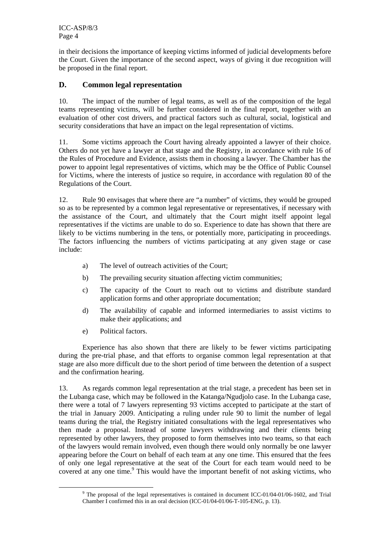ICC-ASP/8/3 Page 4

in their decisions the importance of keeping victims informed of judicial developments before the Court. Given the importance of the second aspect, ways of giving it due recognition will be proposed in the final report.

# **D. Common legal representation**

10. The impact of the number of legal teams, as well as of the composition of the legal teams representing victims, will be further considered in the final report, together with an evaluation of other cost drivers, and practical factors such as cultural, social, logistical and security considerations that have an impact on the legal representation of victims.

11. Some victims approach the Court having already appointed a lawyer of their choice. Others do not yet have a lawyer at that stage and the Registry, in accordance with rule 16 of the Rules of Procedure and Evidence, assists them in choosing a lawyer. The Chamber has the power to appoint legal representatives of victims, which may be the Office of Public Counsel for Victims, where the interests of justice so require, in accordance with regulation 80 of the Regulations of the Court.

12. Rule 90 envisages that where there are "a number" of victims, they would be grouped so as to be represented by a common legal representative or representatives, if necessary with the assistance of the Court, and ultimately that the Court might itself appoint legal representatives if the victims are unable to do so. Experience to date has shown that there are likely to be victims numbering in the tens, or potentially more, participating in proceedings. The factors influencing the numbers of victims participating at any given stage or case include:

- a) The level of outreach activities of the Court;
- b) The prevailing security situation affecting victim communities;
- c) The capacity of the Court to reach out to victims and distribute standard application forms and other appropriate documentation;
- d) The availability of capable and informed intermediaries to assist victims to make their applications; and
- e) Political factors.

Experience has also shown that there are likely to be fewer victims participating during the pre-trial phase, and that efforts to organise common legal representation at that stage are also more difficult due to the short period of time between the detention of a suspect and the confirmation hearing.

13. As regards common legal representation at the trial stage, a precedent has been set in the Lubanga case, which may be followed in the Katanga/Ngudjolo case. In the Lubanga case, there were a total of 7 lawyers representing 93 victims accepted to participate at the start of the trial in January 2009. Anticipating a ruling under rule 90 to limit the number of legal teams during the trial, the Registry initiated consultations with the legal representatives who then made a proposal. Instead of some lawyers withdrawing and their clients being represented by other lawyers, they proposed to form themselves into two teams, so that each of the lawyers would remain involved, even though there would only normally be one lawyer appearing before the Court on behalf of each team at any one time. This ensured that the fees of only one legal representative at the seat of the Court for each team would need to be covered at any one time.<sup>9</sup> This would have the important benefit of not asking victims, who

 $\frac{1}{9}$ <sup>9</sup> The proposal of the legal representatives is contained in document ICC-01/04-01/06-1602, and Trial Chamber I confirmed this in an oral decision (ICC-01/04-01/06-T-105-ENG, p. 13).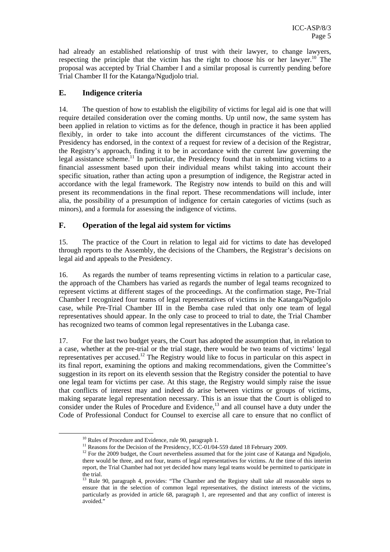had already an established relationship of trust with their lawyer, to change lawyers, respecting the principle that the victim has the right to choose his or her lawyer.<sup>10</sup> The proposal was accepted by Trial Chamber I and a similar proposal is currently pending before Trial Chamber II for the Katanga/Ngudjolo trial.

# **E. Indigence criteria**

14. The question of how to establish the eligibility of victims for legal aid is one that will require detailed consideration over the coming months. Up until now, the same system has been applied in relation to victims as for the defence, though in practice it has been applied flexibly, in order to take into account the different circumstances of the victims. The Presidency has endorsed, in the context of a request for review of a decision of the Registrar, the Registry's approach, finding it to be in accordance with the current law governing the legal assistance scheme.<sup>11</sup> In particular, the Presidency found that in submitting victims to a financial assessment based upon their individual means whilst taking into account their specific situation, rather than acting upon a presumption of indigence, the Registrar acted in accordance with the legal framework. The Registry now intends to build on this and will present its recommendations in the final report. These recommendations will include, inter alia, the possibility of a presumption of indigence for certain categories of victims (such as minors), and a formula for assessing the indigence of victims.

#### **F. Operation of the legal aid system for victims**

15. The practice of the Court in relation to legal aid for victims to date has developed through reports to the Assembly, the decisions of the Chambers, the Registrar's decisions on legal aid and appeals to the Presidency.

16. As regards the number of teams representing victims in relation to a particular case, the approach of the Chambers has varied as regards the number of legal teams recognized to represent victims at different stages of the proceedings. At the confirmation stage, Pre-Trial Chamber I recognized four teams of legal representatives of victims in the Katanga/Ngudjolo case, while Pre-Trial Chamber III in the Bemba case ruled that only one team of legal representatives should appear. In the only case to proceed to trial to date, the Trial Chamber has recognized two teams of common legal representatives in the Lubanga case.

17. For the last two budget years, the Court has adopted the assumption that, in relation to a case, whether at the pre-trial or the trial stage, there would be two teams of victims' legal representatives per accused.<sup>12</sup> The Registry would like to focus in particular on this aspect in its final report, examining the options and making recommendations, given the Committee's suggestion in its report on its eleventh session that the Registry consider the potential to have one legal team for victims per case. At this stage, the Registry would simply raise the issue that conflicts of interest may and indeed do arise between victims or groups of victims, making separate legal representation necessary. This is an issue that the Court is obliged to consider under the Rules of Procedure and Evidence,<sup>13</sup> and all counsel have a duty under the Code of Professional Conduct for Counsel to exercise all care to ensure that no conflict of

<sup>&</sup>lt;sup>10</sup> Rules of Procedure and Evidence, rule 90, paragraph 1.<br><sup>11</sup> Reasons for the Decision of the Presidency, ICC-01/04-559 dated 18 February 2009.

 $12$  For the 2009 budget, the Court nevertheless assumed that for the joint case of Katanga and Ngudjolo, there would be three, and not four, teams of legal representatives for victims. At the time of this interim report, the Trial Chamber had not yet decided how many legal teams would be permitted to participate in the trial.

<sup>&</sup>lt;sup>13</sup> Rule 90, paragraph 4, provides: "The Chamber and the Registry shall take all reasonable steps to ensure that in the selection of common legal representatives, the distinct interests of the victims, particularly as provided in article 68, paragraph 1, are represented and that any conflict of interest is avoided."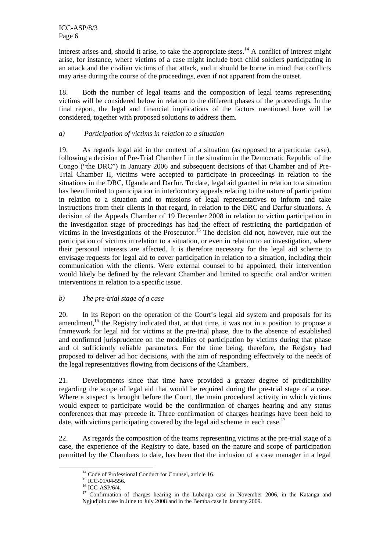interest arises and, should it arise, to take the appropriate steps.<sup>14</sup> A conflict of interest might arise, for instance, where victims of a case might include both child soldiers participating in an attack and the civilian victims of that attack, and it should be borne in mind that conflicts may arise during the course of the proceedings, even if not apparent from the outset.

18. Both the number of legal teams and the composition of legal teams representing victims will be considered below in relation to the different phases of the proceedings. In the final report, the legal and financial implications of the factors mentioned here will be considered, together with proposed solutions to address them.

#### *a) Participation of victims in relation to a situation*

19. As regards legal aid in the context of a situation (as opposed to a particular case), following a decision of Pre-Trial Chamber I in the situation in the Democratic Republic of the Congo ("the DRC") in January 2006 and subsequent decisions of that Chamber and of Pre-Trial Chamber II, victims were accepted to participate in proceedings in relation to the situations in the DRC, Uganda and Darfur. To date, legal aid granted in relation to a situation has been limited to participation in interlocutory appeals relating to the nature of participation in relation to a situation and to missions of legal representatives to inform and take instructions from their clients in that regard, in relation to the DRC and Darfur situations. A decision of the Appeals Chamber of 19 December 2008 in relation to victim participation in the investigation stage of proceedings has had the effect of restricting the participation of victims in the investigations of the Prosecutor.<sup>15</sup> The decision did not, however, rule out the participation of victims in relation to a situation, or even in relation to an investigation, where their personal interests are affected. It is therefore necessary for the legal aid scheme to envisage requests for legal aid to cover participation in relation to a situation, including their communication with the clients. Were external counsel to be appointed, their intervention would likely be defined by the relevant Chamber and limited to specific oral and/or written interventions in relation to a specific issue.

#### *b) The pre-trial stage of a case*

20. In its Report on the operation of the Court's legal aid system and proposals for its amendment,<sup>16</sup> the Registry indicated that, at that time, it was not in a position to propose a framework for legal aid for victims at the pre-trial phase, due to the absence of established and confirmed jurisprudence on the modalities of participation by victims during that phase and of sufficiently reliable parameters. For the time being, therefore, the Registry had proposed to deliver ad hoc decisions, with the aim of responding effectively to the needs of the legal representatives flowing from decisions of the Chambers.

21. Developments since that time have provided a greater degree of predictability regarding the scope of legal aid that would be required during the pre-trial stage of a case. Where a suspect is brought before the Court, the main procedural activity in which victims would expect to participate would be the confirmation of charges hearing and any status conferences that may precede it. Three confirmation of charges hearings have been held to date, with victims participating covered by the legal aid scheme in each case.<sup>17</sup>

22. As regards the composition of the teams representing victims at the pre-trial stage of a case, the experience of the Registry to date, based on the nature and scope of participation permitted by the Chambers to date, has been that the inclusion of a case manager in a legal

<sup>&</sup>lt;sup>14</sup> Code of Professional Conduct for Counsel, article 16.<br><sup>15</sup> ICC-01/04-556.

 $16$  ICC-ASP/6/4.

<sup>&</sup>lt;sup>17</sup> Confirmation of charges hearing in the Lubanga case in November 2006, in the Katanga and Ngjudjolo case in June to July 2008 and in the Bemba case in January 2009.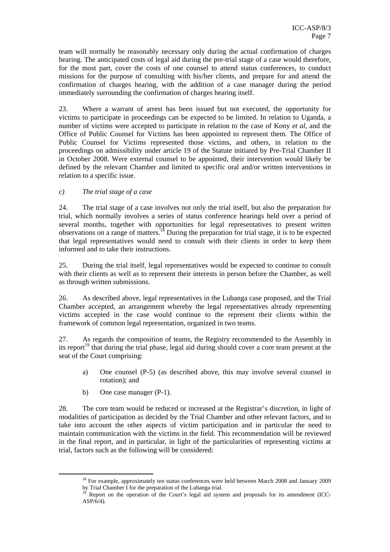team will normally be reasonably necessary only during the actual confirmation of charges hearing. The anticipated costs of legal aid during the pre-trial stage of a case would therefore, for the most part, cover the costs of one counsel to attend status conferences, to conduct missions for the purpose of consulting with his/her clients, and prepare for and attend the confirmation of charges hearing, with the addition of a case manager during the period immediately surrounding the confirmation of charges hearing itself.

23. Where a warrant of arrest has been issued but not executed, the opportunity for victims to participate in proceedings can be expected to be limited. In relation to Uganda, a number of victims were accepted to participate in relation to the case of Kony *et al*, and the Office of Public Counsel for Victims has been appointed to represent them. The Office of Public Counsel for Victims represented those victims, and others, in relation to the proceedings on admissibility under article 19 of the Statute initiated by Pre-Trial Chamber II in October 2008. Were external counsel to be appointed, their intervention would likely be defined by the relevant Chamber and limited to specific oral and/or written interventions in relation to a specific issue.

*c) The trial stage of a case* 

24. The trial stage of a case involves not only the trial itself, but also the preparation for trial, which normally involves a series of status conference hearings held over a period of several months, together with opportunities for legal representatives to present written observations on a range of matters.18 During the preparation for trial stage, it is to be expected that legal representatives would need to consult with their clients in order to keep them informed and to take their instructions.

25. During the trial itself, legal representatives would be expected to continue to consult with their clients as well as to represent their interests in person before the Chamber, as well as through written submissions.

26. As described above, legal representatives in the Lubanga case proposed, and the Trial Chamber accepted, an arrangement whereby the legal representatives already representing victims accepted in the case would continue to the represent their clients within the framework of common legal representation, organized in two teams.

27. As regards the composition of teams, the Registry recommended to the Assembly in its report<sup>19</sup> that during the trial phase, legal aid during should cover a core team present at the seat of the Court comprising:

- a) One counsel (P-5) (as described above, this may involve several counsel in rotation); and
- b) One case manager (P-1).

28. The core team would be reduced or increased at the Registrar's discretion, in light of modalities of participation as decided by the Trial Chamber and other relevant factors, and to take into account the other aspects of victim participation and in particular the need to maintain communication with the victims in the field. This recommendation will be reviewed in the final report, and in particular, in light of the particularities of representing victims at trial, factors such as the following will be considered:

<sup>&</sup>lt;sup>18</sup> For example, approximately ten status conferences were held between March 2008 and January 2009 by Trial Chamber I for the preparation of the Lubanga trial.

<sup>&</sup>lt;sup>19</sup> Report on the operation of the Court's legal aid system and proposals for its amendment (ICC-ASP/6/4).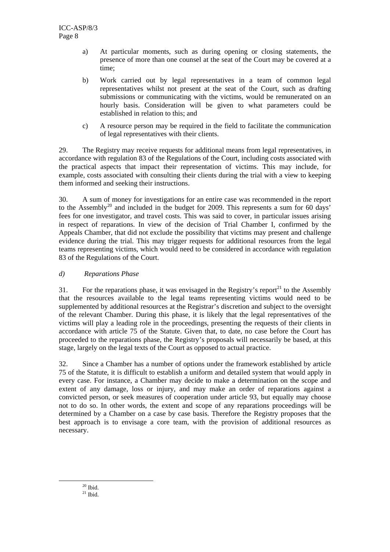- a) At particular moments, such as during opening or closing statements, the presence of more than one counsel at the seat of the Court may be covered at a time;
- b) Work carried out by legal representatives in a team of common legal representatives whilst not present at the seat of the Court, such as drafting submissions or communicating with the victims, would be remunerated on an hourly basis. Consideration will be given to what parameters could be established in relation to this; and
- c) A resource person may be required in the field to facilitate the communication of legal representatives with their clients.

29. The Registry may receive requests for additional means from legal representatives, in accordance with regulation 83 of the Regulations of the Court, including costs associated with the practical aspects that impact their representation of victims. This may include, for example, costs associated with consulting their clients during the trial with a view to keeping them informed and seeking their instructions.

30. A sum of money for investigations for an entire case was recommended in the report to the Assembly<sup>20</sup> and included in the budget for 2009. This represents a sum for 60 days' fees for one investigator, and travel costs. This was said to cover, in particular issues arising in respect of reparations. In view of the decision of Trial Chamber I, confirmed by the Appeals Chamber, that did not exclude the possibility that victims may present and challenge evidence during the trial. This may trigger requests for additional resources from the legal teams representing victims, which would need to be considered in accordance with regulation 83 of the Regulations of the Court.

#### *d) Reparations Phase*

31. For the reparations phase, it was envisaged in the Registry's report<sup>21</sup> to the Assembly that the resources available to the legal teams representing victims would need to be supplemented by additional resources at the Registrar's discretion and subject to the oversight of the relevant Chamber. During this phase, it is likely that the legal representatives of the victims will play a leading role in the proceedings, presenting the requests of their clients in accordance with article 75 of the Statute. Given that, to date, no case before the Court has proceeded to the reparations phase, the Registry's proposals will necessarily be based, at this stage, largely on the legal texts of the Court as opposed to actual practice.

32. Since a Chamber has a number of options under the framework established by article 75 of the Statute, it is difficult to establish a uniform and detailed system that would apply in every case. For instance, a Chamber may decide to make a determination on the scope and extent of any damage, loss or injury, and may make an order of reparations against a convicted person, or seek measures of cooperation under article 93, but equally may choose not to do so. In other words, the extent and scope of any reparations proceedings will be determined by a Chamber on a case by case basis. Therefore the Registry proposes that the best approach is to envisage a core team, with the provision of additional resources as necessary.

 $20$  Ibid.

 $^{21}$  Ibid.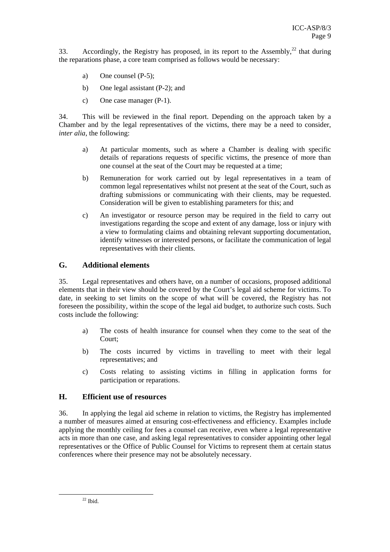33. Accordingly, the Registry has proposed, in its report to the Assembly,  $^{22}$  that during the reparations phase, a core team comprised as follows would be necessary:

- a) One counsel (P-5);
- b) One legal assistant (P-2); and
- c) One case manager (P-1).

34. This will be reviewed in the final report. Depending on the approach taken by a Chamber and by the legal representatives of the victims, there may be a need to consider, *inter alia*, the following:

- a) At particular moments, such as where a Chamber is dealing with specific details of reparations requests of specific victims, the presence of more than one counsel at the seat of the Court may be requested at a time;
- b) Remuneration for work carried out by legal representatives in a team of common legal representatives whilst not present at the seat of the Court, such as drafting submissions or communicating with their clients, may be requested. Consideration will be given to establishing parameters for this; and
- c) An investigator or resource person may be required in the field to carry out investigations regarding the scope and extent of any damage, loss or injury with a view to formulating claims and obtaining relevant supporting documentation, identify witnesses or interested persons, or facilitate the communication of legal representatives with their clients.

#### **G. Additional elements**

35. Legal representatives and others have, on a number of occasions, proposed additional elements that in their view should be covered by the Court's legal aid scheme for victims. To date, in seeking to set limits on the scope of what will be covered, the Registry has not foreseen the possibility, within the scope of the legal aid budget, to authorize such costs. Such costs include the following:

- a) The costs of health insurance for counsel when they come to the seat of the Court;
- b) The costs incurred by victims in travelling to meet with their legal representatives; and
- c) Costs relating to assisting victims in filling in application forms for participation or reparations.

#### **H. Efficient use of resources**

36. In applying the legal aid scheme in relation to victims, the Registry has implemented a number of measures aimed at ensuring cost-effectiveness and efficiency. Examples include applying the monthly ceiling for fees a counsel can receive, even where a legal representative acts in more than one case, and asking legal representatives to consider appointing other legal representatives or the Office of Public Counsel for Victims to represent them at certain status conferences where their presence may not be absolutely necessary.